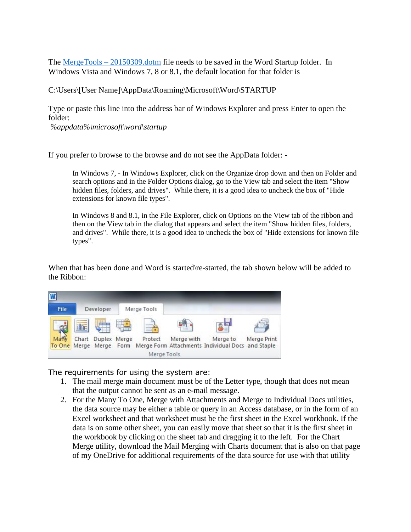The MergeTools – [20150309.dotm](http://bit.ly/1hduSCB) file needs to be saved in the Word Startup folder. In Windows Vista and Windows 7, 8 or 8.1, the default location for that folder is

C:\Users\[User Name]\AppData\Roaming\Microsoft\Word\STARTUP

Type or paste this line into the address bar of Windows Explorer and press Enter to open the folder:

*%appdata%\microsoft\word\startup*

If you prefer to browse to the browse and do not see the AppData folder: -

In Windows 7, - In Windows Explorer, click on the Organize drop down and then on Folder and search options and in the Folder Options dialog, go to the View tab and select the item "Show hidden files, folders, and drives". While there, it is a good idea to uncheck the box of "Hide extensions for known file types".

In Windows 8 and 8.1, in the File Explorer, click on Options on the View tab of the ribbon and then on the View tab in the dialog that appears and select the item "Show hidden files, folders, and drives". While there, it is a good idea to uncheck the box of "Hide extensions for known file types".

When that has been done and Word is started\re-started, the tab shown below will be added to the Ribbon:



The requirements for using the system are:

- 1. The mail merge main document must be of the Letter type, though that does not mean that the output cannot be sent as an e-mail message.
- 2. For the Many To One, Merge with Attachments and Merge to Individual Docs utilities, the data source may be either a table or query in an Access database, or in the form of an Excel worksheet and that worksheet must be the first sheet in the Excel workbook. If the data is on some other sheet, you can easily move that sheet so that it is the first sheet in the workbook by clicking on the sheet tab and dragging it to the left. For the Chart Merge utility, download the Mail Merging with Charts document that is also on that page of my OneDrive for additional requirements of the data source for use with that utility